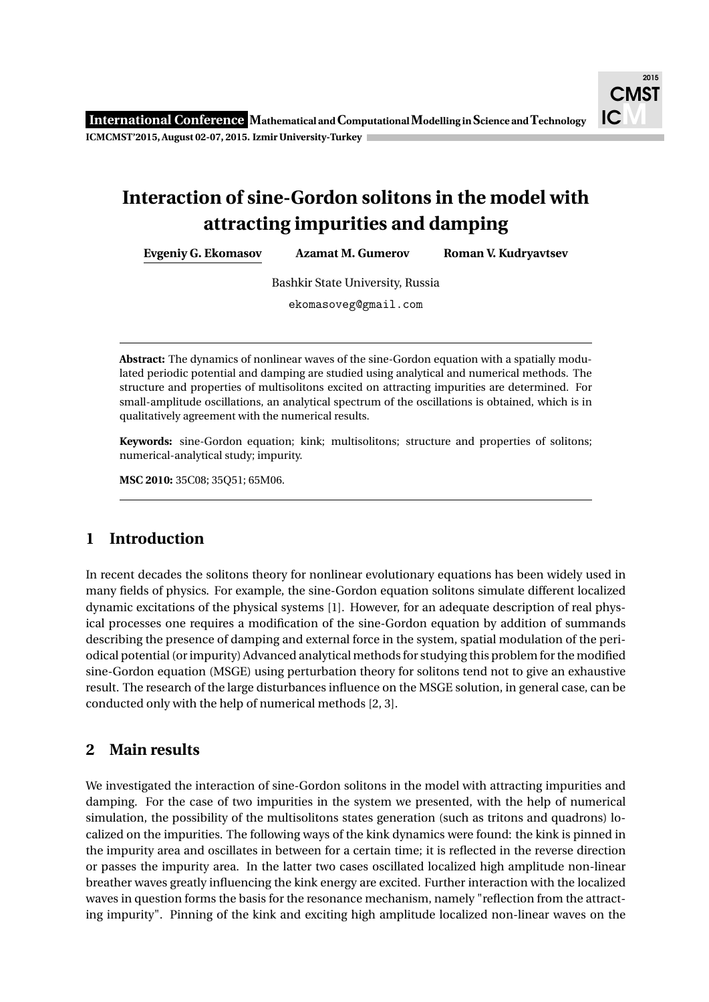## **Interaction of sine-Gordon solitons in the model with attracting impurities and damping**

**Evgeniy G. Ekomasov Azamat M. Gumerov Roman V. Kudryavtsev**

Bashkir State University, Russia

ekomasoveg@gmail.com

**Abstract:** The dynamics of nonlinear waves of the sine-Gordon equation with a spatially modulated periodic potential and damping are studied using analytical and numerical methods. The structure and properties of multisolitons excited on attracting impurities are determined. For small-amplitude oscillations, an analytical spectrum of the oscillations is obtained, which is in qualitatively agreement with the numerical results.

**Keywords:** sine-Gordon equation; kink; multisolitons; structure and properties of solitons; numerical-analytical study; impurity.

**MSC 2010:** 35C08; 35Q51; 65M06.

## **1 Introduction**

In recent decades the solitons theory for nonlinear evolutionary equations has been widely used in many fields of physics. For example, the sine-Gordon equation solitons simulate different localized dynamic excitations of the physical systems [1]. However, for an adequate description of real physical processes one requires a modification of the sine-Gordon equation by addition of summands describing the presence of damping and external force in the system, spatial modulation of the periodical potential (or impurity) Advanced analytical methods for studying this problem for the modified sine-Gordon equation (MSGE) using perturbation theory for solitons tend not to give an exhaustive result. The research of the large disturbances influence on the MSGE solution, in general case, can be conducted only with the help of numerical methods [2, 3].

## **2 Main results**

We investigated the interaction of sine-Gordon solitons in the model with attracting impurities and damping. For the case of two impurities in the system we presented, with the help of numerical simulation, the possibility of the multisolitons states generation (such as tritons and quadrons) localized on the impurities. The following ways of the kink dynamics were found: the kink is pinned in the impurity area and oscillates in between for a certain time; it is reflected in the reverse direction or passes the impurity area. In the latter two cases oscillated localized high amplitude non-linear breather waves greatly influencing the kink energy are excited. Further interaction with the localized waves in question forms the basis for the resonance mechanism, namely "reflection from the attracting impurity". Pinning of the kink and exciting high amplitude localized non-linear waves on the